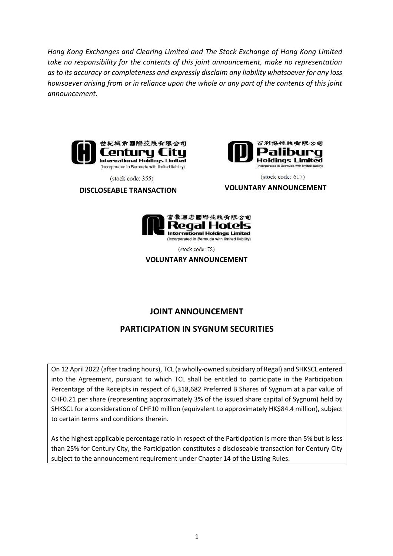*Hong Kong Exchanges and Clearing Limited and The Stock Exchange of Hong Kong Limited take no responsibility for the contents of this joint announcement, make no representation as to its accuracy or completeness and expressly disclaim any liability whatsoever for any loss howsoever arising from or in reliance upon the whole or any part of the contents of this joint announcement.*





百利保控股者限公司 **Holdings Limited** (Incorporated in Bermuda with limited liability)

(stock code: 617)

**DISCLOSEABLE TRANSACTION VOLUNTARY ANNOUNCEMENT**



(stock code: 78)

**VOLUNTARY ANNOUNCEMENT**

# **JOINT ANNOUNCEMENT**

# **PARTICIPATION IN SYGNUM SECURITIES**

On 12 April 2022 (after trading hours), TCL (a wholly-owned subsidiary of Regal) and SHKSCL entered into the Agreement, pursuant to which TCL shall be entitled to participate in the Participation Percentage of the Receipts in respect of 6,318,682 Preferred B Shares of Sygnum at a par value of CHF0.21 per share (representing approximately 3% of the issued share capital of Sygnum) held by SHKSCL for a consideration of CHF10 million (equivalent to approximately HK\$84.4 million), subject to certain terms and conditions therein.

As the highest applicable percentage ratio in respect of the Participation is more than 5% but is less than 25% for Century City, the Participation constitutes a discloseable transaction for Century City subject to the announcement requirement under Chapter 14 of the Listing Rules.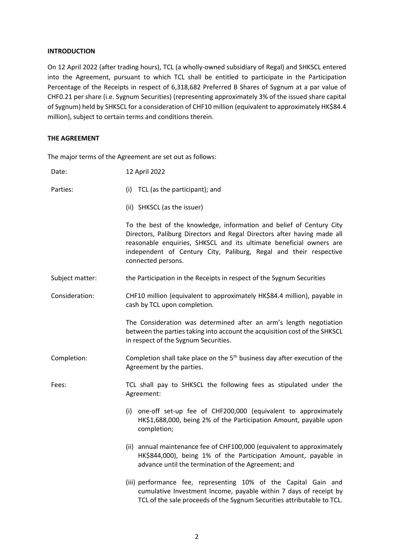## **INTRODUCTION**

On 12 April 2022 (after trading hours), TCL (a wholly-owned subsidiary of Regal) and SHKSCL entered into the Agreement, pursuant to which TCL shall be entitled to participate in the Participation Percentage of the Receipts in respect of 6,318,682 Preferred B Shares of Sygnum at a par value of CHF0.21 per share (i.e. Sygnum Securities) (representing approximately 3% of the issued share capital of Sygnum) held by SHKSCL for a consideration of CHF10 million (equivalent to approximately HK\$84.4 million), subject to certain terms and conditions therein.

## **THE AGREEMENT**

The major terms of the Agreement are set out as follows:

| Date:           | 12 April 2022                                                                                                                                                                                                                                                                                                     |
|-----------------|-------------------------------------------------------------------------------------------------------------------------------------------------------------------------------------------------------------------------------------------------------------------------------------------------------------------|
| Parties:        | (i) TCL (as the participant); and                                                                                                                                                                                                                                                                                 |
|                 | (ii) SHKSCL (as the issuer)                                                                                                                                                                                                                                                                                       |
|                 | To the best of the knowledge, information and belief of Century City<br>Directors, Paliburg Directors and Regal Directors after having made all<br>reasonable enquiries, SHKSCL and its ultimate beneficial owners are<br>independent of Century City, Paliburg, Regal and their respective<br>connected persons. |
| Subject matter: | the Participation in the Receipts in respect of the Sygnum Securities                                                                                                                                                                                                                                             |
| Consideration:  | CHF10 million (equivalent to approximately HK\$84.4 million), payable in<br>cash by TCL upon completion.                                                                                                                                                                                                          |
|                 | The Consideration was determined after an arm's length negotiation<br>between the parties taking into account the acquisition cost of the SHKSCL<br>in respect of the Sygnum Securities.                                                                                                                          |
| Completion:     | Completion shall take place on the $5th$ business day after execution of the<br>Agreement by the parties.                                                                                                                                                                                                         |
| Fees:           | TCL shall pay to SHKSCL the following fees as stipulated under the<br>Agreement:                                                                                                                                                                                                                                  |
|                 | (i) one-off set-up fee of CHF200,000 (equivalent to approximately<br>HK\$1,688,000, being 2% of the Participation Amount, payable upon<br>completion;                                                                                                                                                             |
|                 | (ii) annual maintenance fee of CHF100,000 (equivalent to approximately<br>HK\$844,000), being 1% of the Participation Amount, payable in<br>advance until the termination of the Agreement; and                                                                                                                   |
|                 | (iii) performance fee, representing 10% of the Capital Gain and<br>cumulative Investment Income, payable within 7 days of receipt by<br>TCL of the sale proceeds of the Sygnum Securities attributable to TCL.                                                                                                    |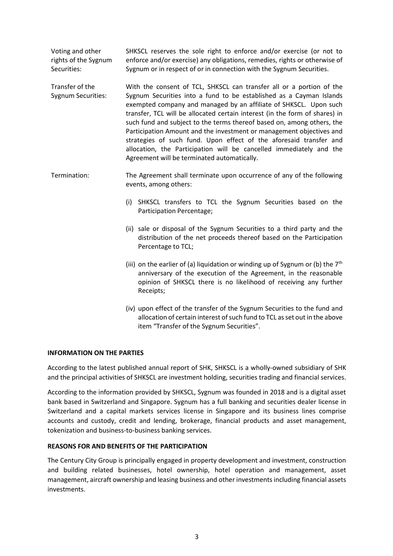Voting and other rights of the Sygnum Securities: SHKSCL reserves the sole right to enforce and/or exercise (or not to enforce and/or exercise) any obligations, remedies, rights or otherwise of Sygnum or in respect of or in connection with the Sygnum Securities.

Transfer of the Sygnum Securities: With the consent of TCL, SHKSCL can transfer all or a portion of the Sygnum Securities into a fund to be established as a Cayman Islands exempted company and managed by an affiliate of SHKSCL. Upon such transfer, TCL will be allocated certain interest (in the form of shares) in such fund and subject to the terms thereof based on, among others, the Participation Amount and the investment or management objectives and strategies of such fund. Upon effect of the aforesaid transfer and allocation, the Participation will be cancelled immediately and the Agreement will be terminated automatically.

Termination: The Agreement shall terminate upon occurrence of any of the following events, among others:

- (i) SHKSCL transfers to TCL the Sygnum Securities based on the Participation Percentage;
- (ii) sale or disposal of the Sygnum Securities to a third party and the distribution of the net proceeds thereof based on the Participation Percentage to TCL;
- (iii) on the earlier of (a) liquidation or winding up of Sygnum or (b) the  $7<sup>th</sup>$ anniversary of the execution of the Agreement, in the reasonable opinion of SHKSCL there is no likelihood of receiving any further Receipts;
- (iv) upon effect of the transfer of the Sygnum Securities to the fund and allocation of certain interest of such fund to TCL as set out in the above item "Transfer of the Sygnum Securities".

## **INFORMATION ON THE PARTIES**

According to the latest published annual report of SHK, SHKSCL is a wholly-owned subsidiary of SHK and the principal activities of SHKSCL are investment holding, securities trading and financial services.

According to the information provided by SHKSCL, Sygnum was founded in 2018 and is a digital asset bank based in Switzerland and Singapore. Sygnum has a full banking and securities dealer license in Switzerland and a capital markets services license in Singapore and its business lines comprise accounts and custody, credit and lending, brokerage, financial products and asset management, tokenization and business-to-business banking services.

## **REASONS FOR AND BENEFITS OF THE PARTICIPATION**

The Century City Group is principally engaged in property development and investment, construction and building related businesses, hotel ownership, hotel operation and management, asset management, aircraft ownership and leasing business and other investments including financial assets investments.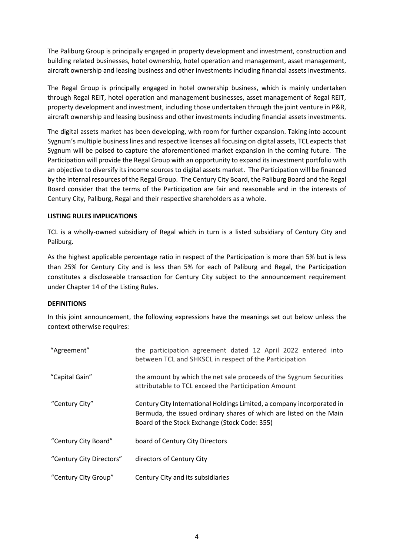The Paliburg Group is principally engaged in property development and investment, construction and building related businesses, hotel ownership, hotel operation and management, asset management, aircraft ownership and leasing business and other investments including financial assets investments.

The Regal Group is principally engaged in hotel ownership business, which is mainly undertaken through Regal REIT, hotel operation and management businesses, asset management of Regal REIT, property development and investment, including those undertaken through the joint venture in P&R, aircraft ownership and leasing business and other investments including financial assets investments.

The digital assets market has been developing, with room for further expansion. Taking into account Sygnum's multiple business lines and respective licenses all focusing on digital assets, TCL expects that Sygnum will be poised to capture the aforementioned market expansion in the coming future. The Participation will provide the Regal Group with an opportunity to expand its investment portfolio with an objective to diversify its income sources to digital assets market. The Participation will be financed by the internal resources of the Regal Group. The Century City Board, the Paliburg Board and the Regal Board consider that the terms of the Participation are fair and reasonable and in the interests of Century City, Paliburg, Regal and their respective shareholders as a whole.

## **LISTING RULES IMPLICATIONS**

TCL is a wholly-owned subsidiary of Regal which in turn is a listed subsidiary of Century City and Paliburg.

As the highest applicable percentage ratio in respect of the Participation is more than 5% but is less than 25% for Century City and is less than 5% for each of Paliburg and Regal, the Participation constitutes a discloseable transaction for Century City subject to the announcement requirement under Chapter 14 of the Listing Rules.

## **DEFINITIONS**

In this joint announcement, the following expressions have the meanings set out below unless the context otherwise requires:

| "Agreement"              | the participation agreement dated 12 April 2022 entered into<br>between TCL and SHKSCL in respect of the Participation                                                                         |
|--------------------------|------------------------------------------------------------------------------------------------------------------------------------------------------------------------------------------------|
| "Capital Gain"           | the amount by which the net sale proceeds of the Sygnum Securities<br>attributable to TCL exceed the Participation Amount                                                                      |
| "Century City"           | Century City International Holdings Limited, a company incorporated in<br>Bermuda, the issued ordinary shares of which are listed on the Main<br>Board of the Stock Exchange (Stock Code: 355) |
| "Century City Board"     | board of Century City Directors                                                                                                                                                                |
| "Century City Directors" | directors of Century City                                                                                                                                                                      |
| "Century City Group"     | Century City and its subsidiaries                                                                                                                                                              |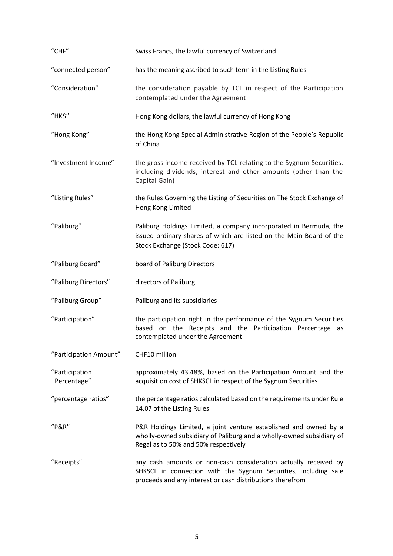| "CHF"                         | Swiss Francs, the lawful currency of Switzerland                                                                                                                                                |
|-------------------------------|-------------------------------------------------------------------------------------------------------------------------------------------------------------------------------------------------|
| "connected person"            | has the meaning ascribed to such term in the Listing Rules                                                                                                                                      |
| "Consideration"               | the consideration payable by TCL in respect of the Participation<br>contemplated under the Agreement                                                                                            |
| "HK\$"                        | Hong Kong dollars, the lawful currency of Hong Kong                                                                                                                                             |
| "Hong Kong"                   | the Hong Kong Special Administrative Region of the People's Republic<br>of China                                                                                                                |
| "Investment Income"           | the gross income received by TCL relating to the Sygnum Securities,<br>including dividends, interest and other amounts (other than the<br>Capital Gain)                                         |
| "Listing Rules"               | the Rules Governing the Listing of Securities on The Stock Exchange of<br>Hong Kong Limited                                                                                                     |
| "Paliburg"                    | Paliburg Holdings Limited, a company incorporated in Bermuda, the<br>issued ordinary shares of which are listed on the Main Board of the<br>Stock Exchange (Stock Code: 617)                    |
| "Paliburg Board"              | board of Paliburg Directors                                                                                                                                                                     |
| "Paliburg Directors"          | directors of Paliburg                                                                                                                                                                           |
| "Paliburg Group"              | Paliburg and its subsidiaries                                                                                                                                                                   |
| "Participation"               | the participation right in the performance of the Sygnum Securities<br>based on the Receipts and the Participation Percentage<br>as<br>contemplated under the Agreement                         |
| "Participation Amount"        | CHF10 million                                                                                                                                                                                   |
| "Participation<br>Percentage" | approximately 43.48%, based on the Participation Amount and the<br>acquisition cost of SHKSCL in respect of the Sygnum Securities                                                               |
| "percentage ratios"           | the percentage ratios calculated based on the requirements under Rule<br>14.07 of the Listing Rules                                                                                             |
| "P&R"                         | P&R Holdings Limited, a joint venture established and owned by a<br>wholly-owned subsidiary of Paliburg and a wholly-owned subsidiary of<br>Regal as to 50% and 50% respectively                |
| "Receipts"                    | any cash amounts or non-cash consideration actually received by<br>SHKSCL in connection with the Sygnum Securities, including sale<br>proceeds and any interest or cash distributions therefrom |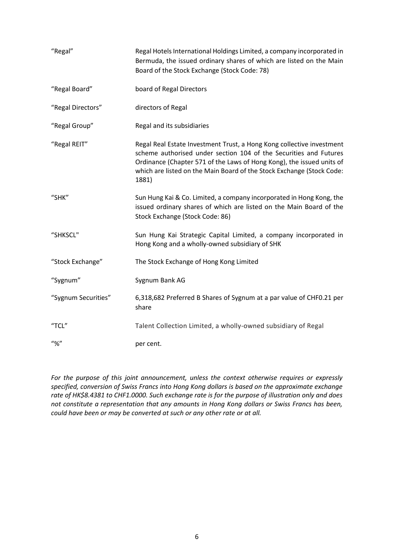| "Regal"              | Regal Hotels International Holdings Limited, a company incorporated in<br>Bermuda, the issued ordinary shares of which are listed on the Main<br>Board of the Stock Exchange (Stock Code: 78)                                                                                                         |
|----------------------|-------------------------------------------------------------------------------------------------------------------------------------------------------------------------------------------------------------------------------------------------------------------------------------------------------|
| "Regal Board"        | board of Regal Directors                                                                                                                                                                                                                                                                              |
| "Regal Directors"    | directors of Regal                                                                                                                                                                                                                                                                                    |
| "Regal Group"        | Regal and its subsidiaries                                                                                                                                                                                                                                                                            |
| "Regal REIT"         | Regal Real Estate Investment Trust, a Hong Kong collective investment<br>scheme authorised under section 104 of the Securities and Futures<br>Ordinance (Chapter 571 of the Laws of Hong Kong), the issued units of<br>which are listed on the Main Board of the Stock Exchange (Stock Code:<br>1881) |
| "SHK"                | Sun Hung Kai & Co. Limited, a company incorporated in Hong Kong, the<br>issued ordinary shares of which are listed on the Main Board of the<br>Stock Exchange (Stock Code: 86)                                                                                                                        |
| "SHKSCL"             | Sun Hung Kai Strategic Capital Limited, a company incorporated in<br>Hong Kong and a wholly-owned subsidiary of SHK                                                                                                                                                                                   |
| "Stock Exchange"     | The Stock Exchange of Hong Kong Limited                                                                                                                                                                                                                                                               |
| "Sygnum"             | Sygnum Bank AG                                                                                                                                                                                                                                                                                        |
| "Sygnum Securities"  | 6,318,682 Preferred B Shares of Sygnum at a par value of CHF0.21 per<br>share                                                                                                                                                                                                                         |
| "TCL"                | Talent Collection Limited, a wholly-owned subsidiary of Regal                                                                                                                                                                                                                                         |
| $^{\prime\prime}$ %" | per cent.                                                                                                                                                                                                                                                                                             |

*For the purpose of this joint announcement, unless the context otherwise requires or expressly specified, conversion of Swiss Francs into Hong Kong dollars is based on the approximate exchange rate of HK\$8.4381 to CHF1.0000. Such exchange rate is for the purpose of illustration only and does not constitute a representation that any amounts in Hong Kong dollars or Swiss Francs has been, could have been or may be converted at such or any other rate or at all.*